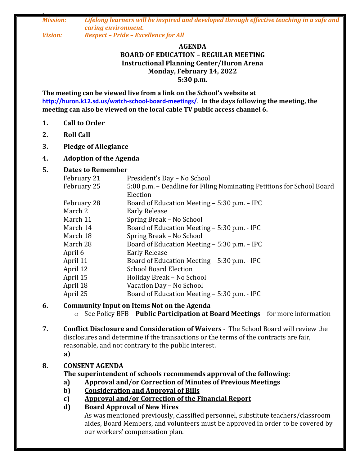*0 Mission: Lifelong learners will be inspired and developed through effective teaching in a safe and caring environment. Vision: Respect – Pride – Excellence for All*

#### **AGENDA BOARD OF EDUCATION – REGULAR MEETING Instructional Planning Center/Huron Arena Monday, February 14, 2022 5:30 p.m.**

**The meeting can be viewed live from a link on the School's website at http://huron.k12.sd.us/watch-school-board-meetings/**. **In the days following the meeting, the meeting can also be viewed on the local cable TV public access channel 6.**

- **1. Call to Order**
- **2. Roll Call**
- **3. Pledge of Allegiance**

#### **4. Adoption of the Agenda**

#### **5. Dates to Remember**

| February 21 | President's Day - No School                                           |
|-------------|-----------------------------------------------------------------------|
| February 25 | 5:00 p.m. – Deadline for Filing Nominating Petitions for School Board |
|             | Election                                                              |
| February 28 | Board of Education Meeting – 5:30 p.m. – IPC                          |
| March 2     | <b>Early Release</b>                                                  |
| March 11    | Spring Break – No School                                              |
| March 14    | Board of Education Meeting - 5:30 p.m. - IPC                          |
| March 18    | Spring Break – No School                                              |
| March 28    | Board of Education Meeting – 5:30 p.m. – IPC                          |
| April 6     | <b>Early Release</b>                                                  |
| April 11    | Board of Education Meeting – 5:30 p.m. - IPC                          |
| April 12    | <b>School Board Election</b>                                          |
| April 15    | Holiday Break - No School                                             |
| April 18    | Vacation Day - No School                                              |
| April 25    | Board of Education Meeting – 5:30 p.m. - IPC                          |

#### **6. Community Input on Items Not on the Agenda**

- o See Policy BFB **Public Participation at Board Meetings** for more information
- **7. Conflict Disclosure and Consideration of Waivers** The School Board will review the disclosures and determine if the transactions or the terms of the contracts are fair, reasonable, and not contrary to the public interest. **a)**

#### **8. CONSENT AGENDA**

#### **The superintendent of schools recommends approval of the following:**

- **a) Approval and/or Correction of Minutes of Previous Meetings**
- **b) Consideration and Approval of Bills**
- **c) Approval and/or Correction of the Financial Report**

#### **d) Board Approval of New Hires**

As was mentioned previously, classified personnel, substitute teachers/classroom aides, Board Members, and volunteers must be approved in order to be covered by our workers' compensation plan.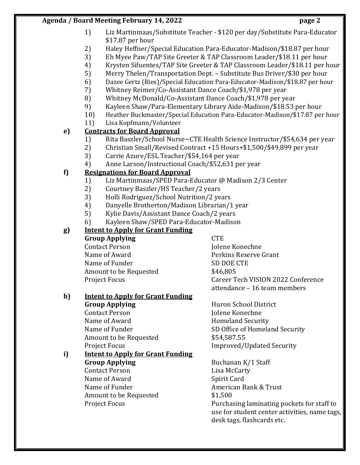- 1) Liz Martinmaas/Substitute Teacher \$120 per day/Substitute Para-Educator \$17.87 per hour
- 2) Haley Heffner/Special Education Para-Educator-Madison/\$18.87 per hour
- 3) Eh Myee Paw/TAP Site Greeter & TAP Classroom Leader/\$18.11 per hour
- 4) Krysten Sifuentes/TAP Site Greeter & TAP Classroom Leader/\$18.11 per hour
- 5) Merry Thelen/Transportation Dept. Substitute Bus Driver/\$30 per hour
- 6) Dazee Gertz (Ries)/Special Education Para-Educator-Madison/\$18.87 per hour
- 7) Whitney Reimer/Co-Assistant Dance Coach/\$1,978 per year
- 8) Whitney McDonald/Co-Assistant Dance Coach/\$1,978 per year
- 9) Kayleen Shaw/Para-Elementary Library Aide-Madison/\$18.53 per hour
- 10) Heather Buckmaster/Special Education Para-Educator-Madison/\$17.87 per hour
- 11) Lisa Kopfmann/Volunteer

# **e) Contracts for Board Approval**

- 1) Rita Baszler/School Nurse~CTE Health Science Instructor/\$54,634 per year
- 2) Christian Small/Revised Contract +15 Hours+\$1,500/\$49,899 per year
- 3) Carrie Azure/ESL Teacher/\$54,164 per year
- 4) Anne Larson/Instructional Coach/\$52,631 per year

# **f) Resignations for Board Approval**

- 1) Liz Martinmaas/SPED Para-Educator @ Madison 2/3 Center
- 2) Courtney Baszler/HS Teacher/2 years
- 3) Holli Rodriguez/School Nutrition/2 years
- 4) Danyelle Brotherton/Madison Librarian/1 year
- 5) Kylie Davis/Assistant Dance Coach/2 years
- 6) Kayleen Shaw/SPED Para-Educator-Madison

# **g) Intent to Apply for Grant Funding**

**Group Applying CTE** Contact Person and Jolene Konechne Name of Award **Perkins Reserve Grant** Name of Funder SD DOE CTE Amount to be Requested  $$46,805$ 

Project Focus **Career Tech VISION 2022 Conference** attendance – 16 team members

### **h) Intent to Apply for Grant Funding**

**Group Applying** Huron School District Contact Person and Jolene Konechne Name of Award **Homeland Security** Amount to be Requested  $$54,587.55$ 

#### **i) Intent to Apply for Grant Funding Group Applying** Buchanan K/1 Staff

Contact Person Lisa McCarty Name of Award Spirit Card Name of Funder **American Bank & Trust** Amount to be Requested  $$1,500$ 

Name of Funder SD Office of Homeland Security Project Focus **Improved/Updated Security** 

Project Focus **Purchasing laminating pockets for staff to** use for student center activities, name tags, desk tags, flashcards etc.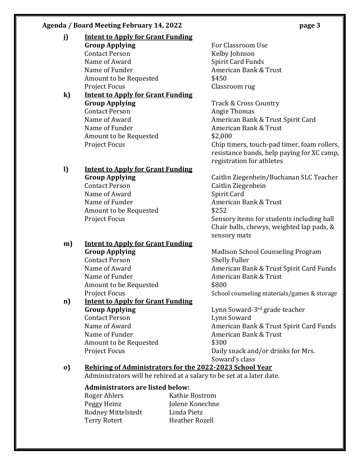- **j) Intent to Apply for Grant Funding Group Applying For Classroom Use** Contact Person Kelby Johnson Name of Award Spirit Card Funds Name of Funder **American Bank & Trust** Amount to be Requested  $$450$ Project Focus **Classroom** rug **k) Intent to Apply for Grant Funding**
	- **Group Applying** Track & Cross Country Contact Person **Angie Thomas** Name of Funder **American Bank & Trust** Amount to be Requested  $$2,000$

# **l) Intent to Apply for Grant Funding**

Contact Person Caitlin Ziegenbein Name of Award Spirit Card Name of Funder **American Bank & Trust** Amount to be Requested  $$252$ 

# **m) Intent to Apply for Grant Funding**

Contact Person Shelly Fuller Name of Funder American Bank & Trust Amount to be Requested  $$800$ 

#### **n) Intent to Apply for Grant Funding Group Applying Canadian Exercise System** Lynn Soward-3rd grade teacher Contact Person Lynn Soward

Name of Funder American Bank & Trust Amount to be Requested  $$300$ 

Name of Award **American Bank & Trust Spirit Card** Project Focus Chip timers, touch-pad timer, foam rollers, resistance bands, help paying for XC camp, registration for athletes

**Group Applying** Caitlin Ziegenbein/Buchanan SLC Teacher Project Focus The Sensory items for students including ball Chair balls, chewys, weighted lap pads, & sensory mats

**Group Applying** Madison School Counseling Program Name of Award **American Bank & Trust Spirit Card Funds** Project Focus **School counseling materials/games & storage** School counseling materials/games & storage

Name of Award **American Bank & Trust Spirit Card Funds** Project Focus **Daily snack and/or drinks for Mrs.** Soward's class

#### **o) Rehiring of Administrators for the 2022-2023 School Year**

Administrators will be rehired at a salary to be set at a later date.

#### **Administrators are listed below:**

Roger Ahlers Kathie Bostrom Peggy Heinz Jolene Konechne Rodney Mittelstedt Linda Pietz Terry Rotert Heather Rozell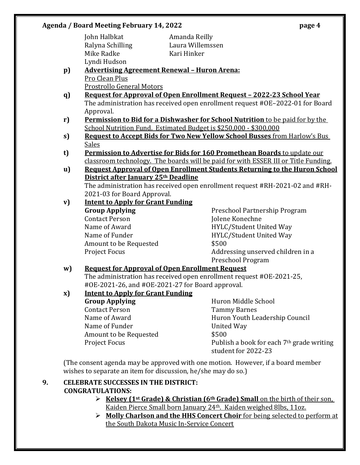John Halbkat Amanda Reilly Mike Radke Kari Hinker Lyndi Hudson

Ralyna Schilling Laura Willemssen

- **p) Advertising Agreement Renewal – Huron Arena:** Pro Clean Plus Prostrollo General Motors
- **q) Request for Approval of Open Enrollment Request – 2022-23 School Year** The administration has received open enrollment request #OE–2022-01 for Board Approval.
- **r) Permission to Bid for a Dishwasher for School Nutrition** to be paid for by the School Nutrition Fund. Estimated Budget is \$250,000 - \$300,000
- **s) Request to Accept Bids for Two New Yellow School Busses** from Harlow's Bus Sales
- **t) Permission to Advertise for Bids for 160 Promethean Boards** to update our classroom technology. The boards will be paid for with ESSER III or Title Funding.
- **u) Request Approval of Open Enrollment Students Returning to the Huron School District after January 25th Deadline** The administration has received open enrollment request #RH-2021-02 and #RH-2021-03 for Board Approval.
- **v) Intent to Apply for Grant Funding Group Applying** Preschool Partnership Program Contact Person Jolene Konechne Name of Award **HYLC/Student United Way** Name of Funder **HYLC/Student United Way** Amount to be Requested  $$500$ Project Focus **Addressing unserved children** in a

Preschool Program

### **w) Request for Approval of Open Enrollment Request**

The administration has received open enrollment request #OE-2021-25, #OE-2021-26, and #OE-2021-27 for Board approval.

#### **x) Intent to Apply for Grant Funding Group Applying** Huron Middle School Contact Person Tammy Barnes Name of Award **Huron Youth Leadership Council**

Name of Funder **United Way** Amount to be Requested  $$500$ Project Focus Publish a book for each 7<sup>th</sup> grade writing student for 2022-23

(The consent agenda may be approved with one motion. However, if a board member wishes to separate an item for discussion, he/she may do so.)

### **9. CELEBRATE SUCCESSES IN THE DISTRICT: CONGRATULATIONS:**

- **Kelsey (1st Grade) & Christian (6th Grade) Small** on the birth of their son, Kaiden Pierce Small born January 24th. Kaiden weighed 8lbs, 11oz.
- **Molly Charlson and the HHS Concert Choir** for being selected to perform at the South Dakota Music In-Service Concert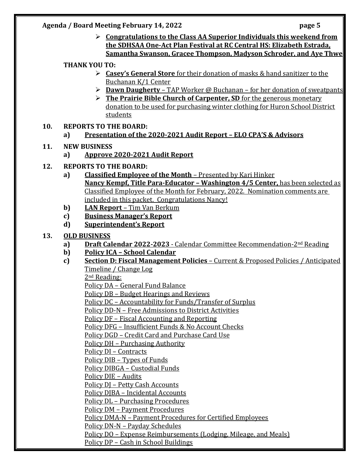**Congratulations to the Class AA Superior Individuals this weekend from the SDHSAA One-Act Plan Festival at RC Central HS: Elizabeth Estrada, Samantha Swanson, Gracee Thompson, Madyson Schroder, and Aye Thwe**

#### **THANK YOU TO:**

- **Casey's General Store** for their donation of masks & hand sanitizer to the Buchanan K/1 Center
- **Dawn Daugherty**  TAP Worker @ Buchanan for her donation of sweatpants
- **Fig. 2** The Prairie Bible Church of Carpenter, SD for the generous monetary donation to be used for purchasing winter clothing for Huron School District students

#### **10. REPORTS TO THE BOARD:**

**a) Presentation of the 2020-2021 Audit Report – ELO CPA'S & Advisors**

#### **11. NEW BUSINESS**

- **a) Approve 2020-2021 Audit Report**
- **12. REPORTS TO THE BOARD:**
	- **a) Classified Employee of the Month** Presented by Kari Hinker **Nancy Kempf, Title Para-Educator – Washington 4/5 Center,** has been selected as Classified Employee of the Month for February, 2022. Nomination comments are included in this packet. Congratulations Nancy!
	- **b) LAN Report**  Tim Van Berkum
	- **c) Business Manager's Report**
	- **d) Superintendent's Report**

#### **13. OLD BUSINESS**

- **a) Draft Calendar 2022-2023**  Calendar Committee Recommendation-2nd Reading
- **b) Policy ICA – School Calendar**
- **c) Section D: Fiscal Management Policies**  Current & Proposed Policies / Anticipated Timeline / Change Log

2nd Reading:

Policy DA – General Fund Balance

Policy DB – Budget Hearings and Reviews

Policy DC – Accountability for Funds/Transfer of Surplus

Policy DD-N – Free Admissions to District Activities

Policy DF – Fiscal Accounting and Reporting

Policy DFG – Insufficient Funds & No Account Checks

Policy DGD – Credit Card and Purchase Card Use

Policy DH – Purchasing Authority

Policy DI – Contracts

Policy DIB – Types of Funds

Policy DIBGA – Custodial Funds

Policy DIE – Audits

Policy DJ – Petty Cash Accounts

Policy DJBA – Incidental Accounts

Policy DL – Purchasing Procedures

Policy DM - Payment Procedures

Policy DMA-N – Payment Procedures for Certified Employees

Policy DN-N – Payday Schedules

Policy DO – Expense Reimbursements (Lodging, Mileage, and Meals)

Policy DP – Cash in School Buildings